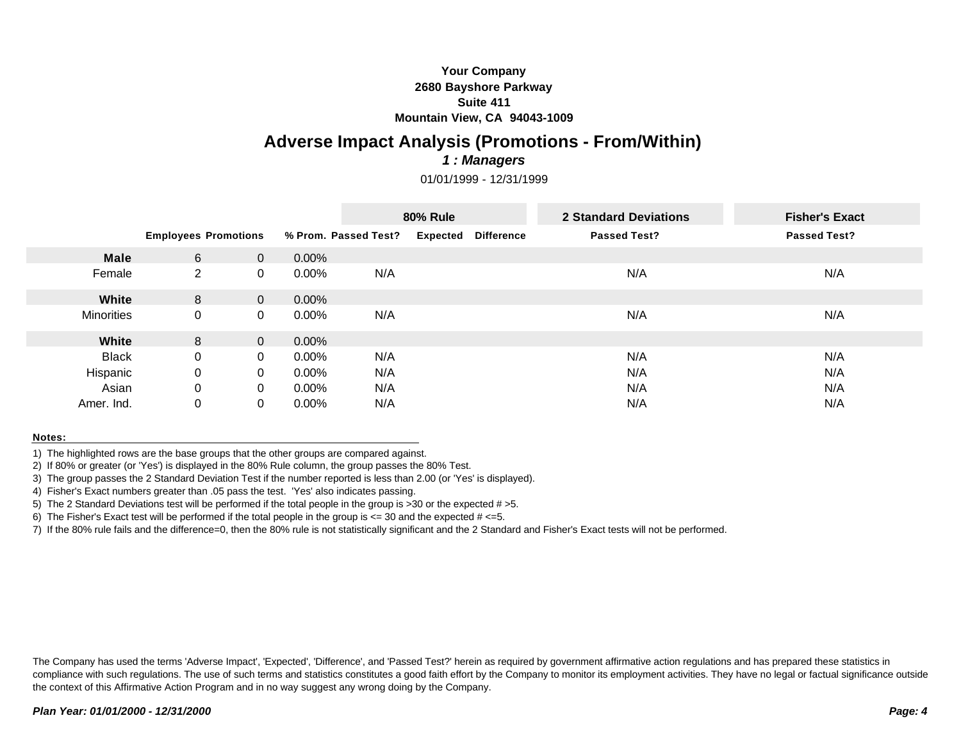# **Your Company 2680 Bayshore Parkway Suite 411 Mountain View, CA 94043-1009**

# **Adverse Impact Analysis (Promotions - From/Within)**

### *1 : Managers*

01/01/1999 - 12/31/1999

|                   |                             |             |          | <b>80% Rule</b>      |                 |                   | 2 Standard Deviations | <b>Fisher's Exact</b> |
|-------------------|-----------------------------|-------------|----------|----------------------|-----------------|-------------------|-----------------------|-----------------------|
|                   | <b>Employees Promotions</b> |             |          | % Prom. Passed Test? | <b>Expected</b> | <b>Difference</b> | <b>Passed Test?</b>   | <b>Passed Test?</b>   |
| <b>Male</b>       | 6                           | $\Omega$    | $0.00\%$ |                      |                 |                   |                       |                       |
| Female            | $\overline{2}$              | 0           | $0.00\%$ | N/A                  |                 |                   | N/A                   | N/A                   |
| White             | 8                           | $\Omega$    | $0.00\%$ |                      |                 |                   |                       |                       |
| <b>Minorities</b> | $\mathbf 0$                 | $\mathbf 0$ | $0.00\%$ | N/A                  |                 |                   | N/A                   | N/A                   |
| White             | 8                           | $\Omega$    | $0.00\%$ |                      |                 |                   |                       |                       |
| <b>Black</b>      | $\Omega$                    | 0           | $0.00\%$ | N/A                  |                 |                   | N/A                   | N/A                   |
| Hispanic          | $\mathbf{0}$                | 0           | $0.00\%$ | N/A                  |                 |                   | N/A                   | N/A                   |
| Asian             | $\mathbf 0$                 | 0           | $0.00\%$ | N/A                  |                 |                   | N/A                   | N/A                   |
| Amer. Ind.        | 0                           | 0           | $0.00\%$ | N/A                  |                 |                   | N/A                   | N/A                   |

### **Notes:**

1) The highlighted rows are the base groups that the other groups are compared against.

2) If 80% or greater (or 'Yes') is displayed in the 80% Rule column, the group passes the 80% Test.

3) The group passes the 2 Standard Deviation Test if the number reported is less than 2.00 (or 'Yes' is displayed).

4) Fisher's Exact numbers greater than .05 pass the test. 'Yes' also indicates passing.

5) The 2 Standard Deviations test will be performed if the total people in the group is  $>30$  or the expected  $# > 5$ .

6) The Fisher's Exact test will be performed if the total people in the group is  $\epsilon$  = 30 and the expected  $\#$   $\epsilon$ =5.

7) If the 80% rule fails and the difference=0, then the 80% rule is not statistically significant and the 2 Standard and Fisher's Exact tests will not be performed.

The Company has used the terms 'Adverse Impact', 'Expected', 'Difference', and 'Passed Test?' herein as required by government affirmative action regulations and has prepared these statistics in compliance with such regulations. The use of such terms and statistics constitutes a good faith effort by the Company to monitor its employment activities. They have no legal or factual significance outside the context of this Affirmative Action Program and in no way suggest any wrong doing by the Company.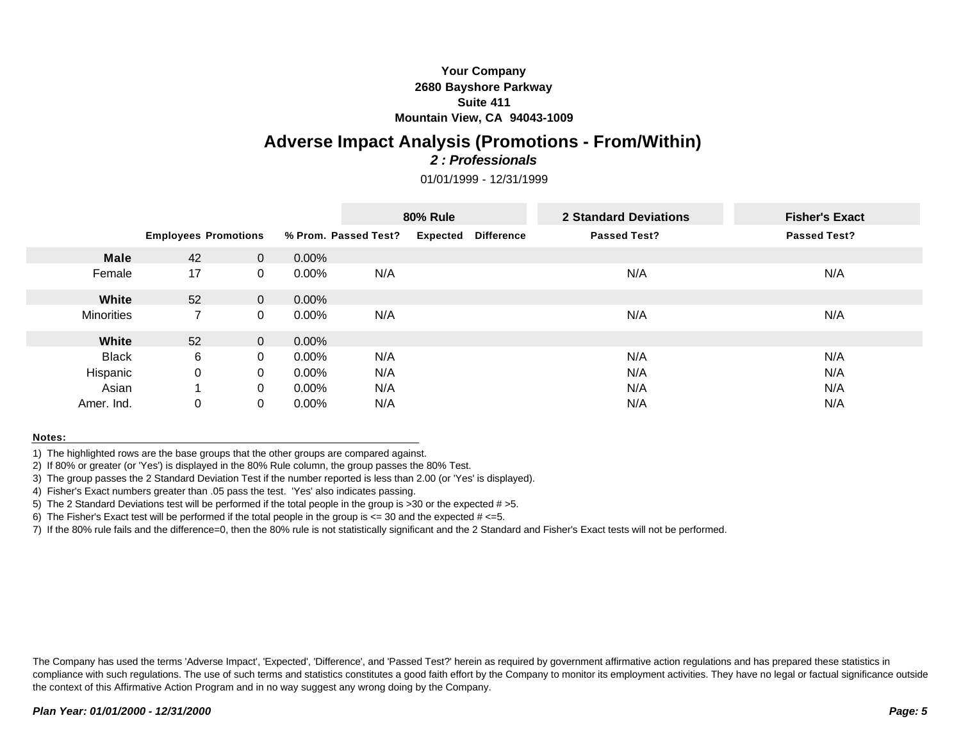# **Your Company 2680 Bayshore Parkway Suite 411 Mountain View, CA 94043-1009**

# **Adverse Impact Analysis (Promotions - From/Within)**

# *2 : Professionals*

01/01/1999 - 12/31/1999

|                   |                             |              |          | <b>80% Rule</b>      |                 |                   | 2 Standard Deviations | <b>Fisher's Exact</b> |
|-------------------|-----------------------------|--------------|----------|----------------------|-----------------|-------------------|-----------------------|-----------------------|
|                   | <b>Employees Promotions</b> |              |          | % Prom. Passed Test? | <b>Expected</b> | <b>Difference</b> | <b>Passed Test?</b>   | <b>Passed Test?</b>   |
| <b>Male</b>       | 42                          | $\Omega$     | 0.00%    |                      |                 |                   |                       |                       |
| Female            | 17                          | 0            | $0.00\%$ | N/A                  |                 |                   | N/A                   | N/A                   |
| White             | 52                          | $\mathbf{0}$ | $0.00\%$ |                      |                 |                   |                       |                       |
| <b>Minorities</b> |                             | 0            | $0.00\%$ | N/A                  |                 |                   | N/A                   | N/A                   |
| White             | 52                          | $\Omega$     | $0.00\%$ |                      |                 |                   |                       |                       |
| <b>Black</b>      | 6                           | 0            | $0.00\%$ | N/A                  |                 |                   | N/A                   | N/A                   |
| Hispanic          | $\mathbf 0$                 | 0            | $0.00\%$ | N/A                  |                 |                   | N/A                   | N/A                   |
| Asian             |                             | 0            | $0.00\%$ | N/A                  |                 |                   | N/A                   | N/A                   |
| Amer. Ind.        | 0                           | 0            | $0.00\%$ | N/A                  |                 |                   | N/A                   | N/A                   |

### **Notes:**

1) The highlighted rows are the base groups that the other groups are compared against.

2) If 80% or greater (or 'Yes') is displayed in the 80% Rule column, the group passes the 80% Test.

3) The group passes the 2 Standard Deviation Test if the number reported is less than 2.00 (or 'Yes' is displayed).

4) Fisher's Exact numbers greater than .05 pass the test. 'Yes' also indicates passing.

5) The 2 Standard Deviations test will be performed if the total people in the group is  $>30$  or the expected  $# > 5$ .

6) The Fisher's Exact test will be performed if the total people in the group is  $\epsilon$  = 30 and the expected  $\#$   $\epsilon$ =5.

7) If the 80% rule fails and the difference=0, then the 80% rule is not statistically significant and the 2 Standard and Fisher's Exact tests will not be performed.

The Company has used the terms 'Adverse Impact', 'Expected', 'Difference', and 'Passed Test?' herein as required by government affirmative action regulations and has prepared these statistics in compliance with such regulations. The use of such terms and statistics constitutes a good faith effort by the Company to monitor its employment activities. They have no legal or factual significance outside the context of this Affirmative Action Program and in no way suggest any wrong doing by the Company.